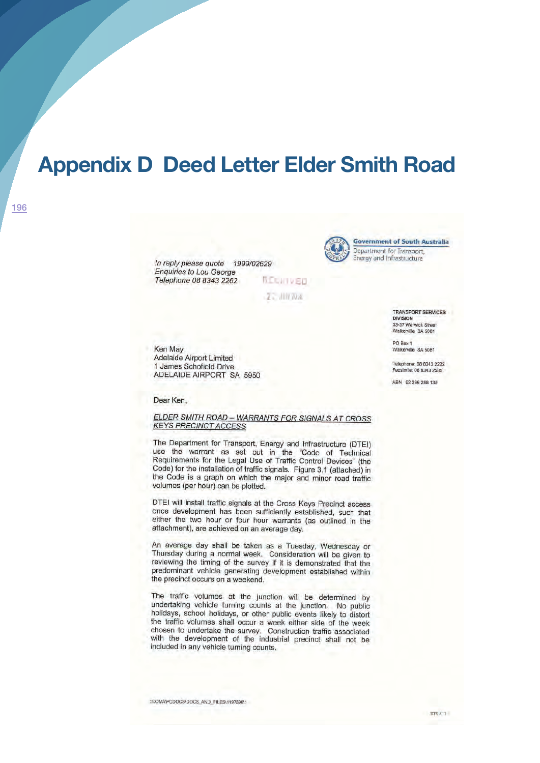# **Appendix D Deed Letter Elder Smith Road**

In reply please quote 1999/02629 **Enquiries to Lou George** Telephone 08 8343 2262

**REGINVED** Z - JUN 7056



**Government of South Australia** Department for Transport, Energy and Infrastructure

> TRANSPORT SERVICES **DIVISION** 33-37 Warwick Street Walkerville SA 5081

PO Box 1 Walkerville SA 5081

Telephone: 08 8343 2222 Facsimile: 08 8343 2585

ABN 92 366 288 135

Ken May Adelaide Airport Limited 1 James Schofield Drive ADELAIDE AIRPORT SA 5950

### Dear Ken,

### ELDER SMITH ROAD - WARRANTS FOR SIGNALS AT CROSS **KEYS PRECINCT ACCESS**

The Department for Transport, Energy and Infrastructure (DTEI) use the warrant as set out in the "Code of Technical Requirements for the Legal Use of Traffic Control Devices" (the Code) for the installation of traffic signals. Figure 3.1 (attached) in the Code is a graph on which the major and minor road traffic volumes (per hour) can be plotted.

DTEI will install traffic signals at the Cross Keys Precinct access once development has been sufficiently established, such that either the two hour or four hour warrants (as outlined in the attachment), are achieved on an average day.

An average day shall be taken as a Tuesday, Wednesday or Thursday during a normal week. Consideration will be given to reviewing the timing of the survey if it is demonstrated that the predominant vehicle generating development established within the precinct occurs on a weekend.

The traffic volumes at the junction will be determined by undertaking vehicle turning counts at the junction. No public holidays, school holidays, or other public events likely to distort the traffic volumes shall occur a week either side of the week chosen to undertake the survey. Construction traffic associated with the development of the industrial precinct shall not be included in any vehicle turning counts.

HODMANPODOCS\DOCS\_AND\_FILES\1197390\1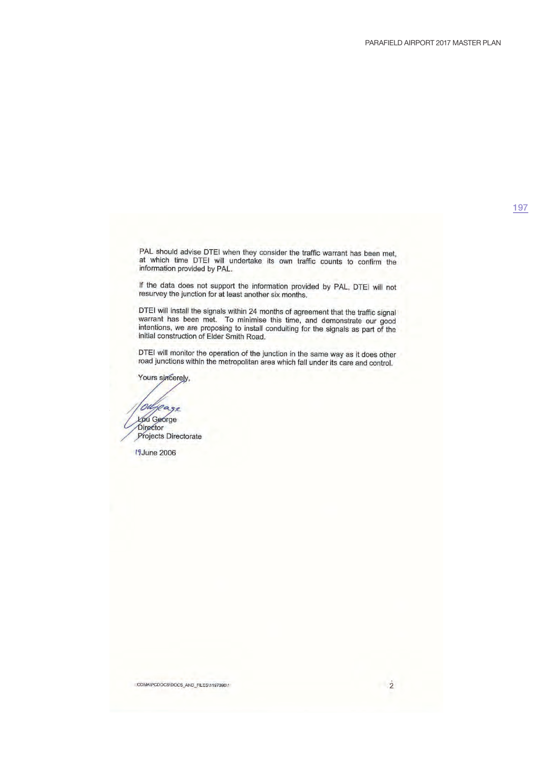197

PAL should advise DTEI when they consider the traffic warrant has been met, at which time DTEI will undertake its own traffic counts to confirm the information provided by PAL.

If the data does not support the information provided by PAL, DTEI will not resurvey the junction for at least another six months.

DTEI will install the signals within 24 months of agreement that the traffic signal warrant has been met. To minimise this time, and demonstrate our good intentions, we are proposing to install conduiting for the signals a initial construction of Elder Smith Road.

DTEI will monitor the operation of the junction in the same way as it does other road junctions within the metropolitan area which fall under its care and control.

Yours sincerely,

geage 'oa Lou George Director Projects Directorate

19 June 2006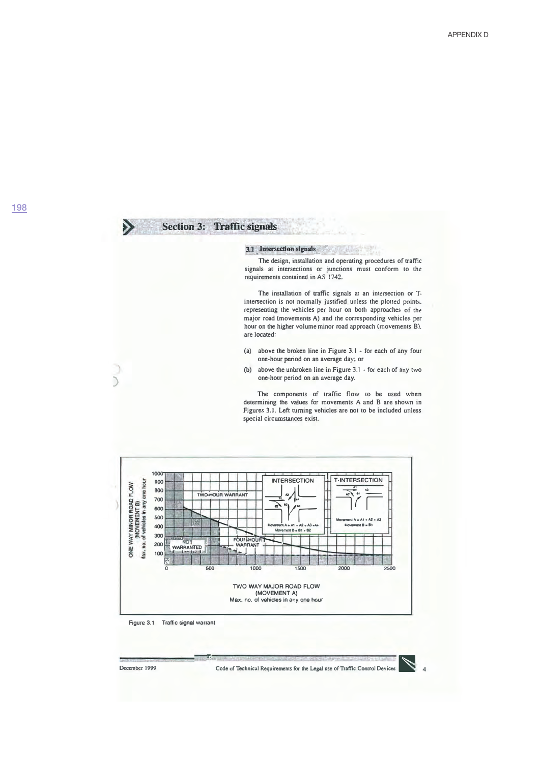#### D Section 3: Traffic signals

## 3.1 Intersection signals

The design, installation and operating procedures of traffic signals at intersections or junctions must conform to the requirements contained in AS 1742.

The installation of traffic signals at an intersection or Tintersection is not normally justified unless the plotted points. representing the vehicles per hour on both approaches of the major road (movements A) and the corresponding vehicles per hour on the higher volume minor road approach (movements B). are located:

- (a) above the broken line in Figure 3.1 for each of any four one-hour period on an average day; or
- (b) above the unbroken line in Figure  $3.1 -$  for each of any two one-hour period on an average day.

The components of traffic flow to be used when determining the values for movements A and B are shown in Figures 3.1. Left turning vehicles are not to be included unless special circumstances exist.



December 1999

 $\mathcal{L}$ 

Code of Technical Requirements for the Legal use of Traffic Control Devices